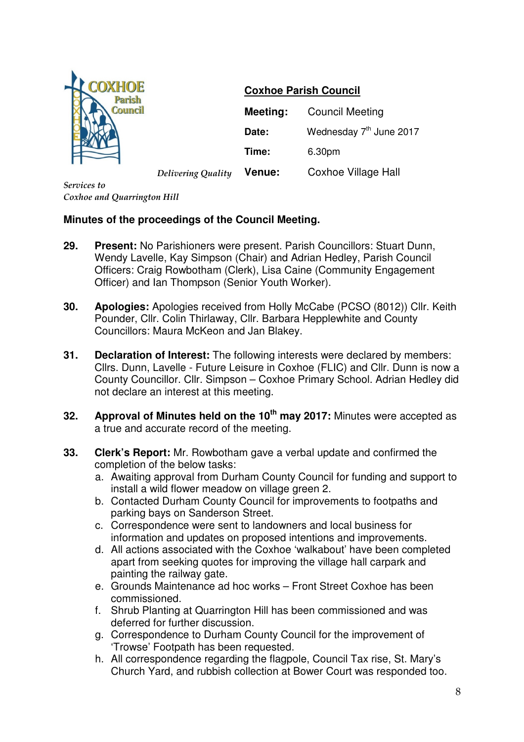

## **Coxhoe Parish Council**

|                    | <b>Meeting:</b> | <b>Council Meeting</b>              |
|--------------------|-----------------|-------------------------------------|
|                    | Date:           | Wednesday 7 <sup>th</sup> June 2017 |
|                    | Time:           | 6.30pm                              |
| Delivering Quality | <b>Venue:</b>   | <b>Coxhoe Village Hall</b>          |

*Services to Coxhoe and Quarrington Hill*

## **Minutes of the proceedings of the Council Meeting.**

- **29. Present:** No Parishioners were present. Parish Councillors: Stuart Dunn, Wendy Lavelle, Kay Simpson (Chair) and Adrian Hedley, Parish Council Officers: Craig Rowbotham (Clerk), Lisa Caine (Community Engagement Officer) and Ian Thompson (Senior Youth Worker).
- **30. Apologies:** Apologies received from Holly McCabe (PCSO (8012)) Cllr. Keith Pounder, Cllr. Colin Thirlaway, Cllr. Barbara Hepplewhite and County Councillors: Maura McKeon and Jan Blakey.
- **31. Declaration of Interest:** The following interests were declared by members: Cllrs. Dunn, Lavelle - Future Leisure in Coxhoe (FLIC) and Cllr. Dunn is now a County Councillor. Cllr. Simpson – Coxhoe Primary School. Adrian Hedley did not declare an interest at this meeting.
- **32. Approval of Minutes held on the 10th may 2017:** Minutes were accepted as a true and accurate record of the meeting.
- **33. Clerk's Report:** Mr. Rowbotham gave a verbal update and confirmed the completion of the below tasks:
	- a. Awaiting approval from Durham County Council for funding and support to install a wild flower meadow on village green 2.
	- b. Contacted Durham County Council for improvements to footpaths and parking bays on Sanderson Street.
	- c. Correspondence were sent to landowners and local business for information and updates on proposed intentions and improvements.
	- d. All actions associated with the Coxhoe 'walkabout' have been completed apart from seeking quotes for improving the village hall carpark and painting the railway gate.
	- e. Grounds Maintenance ad hoc works Front Street Coxhoe has been commissioned.
	- f. Shrub Planting at Quarrington Hill has been commissioned and was deferred for further discussion.
	- g. Correspondence to Durham County Council for the improvement of 'Trowse' Footpath has been requested.
	- h. All correspondence regarding the flagpole, Council Tax rise, St. Mary's Church Yard, and rubbish collection at Bower Court was responded too.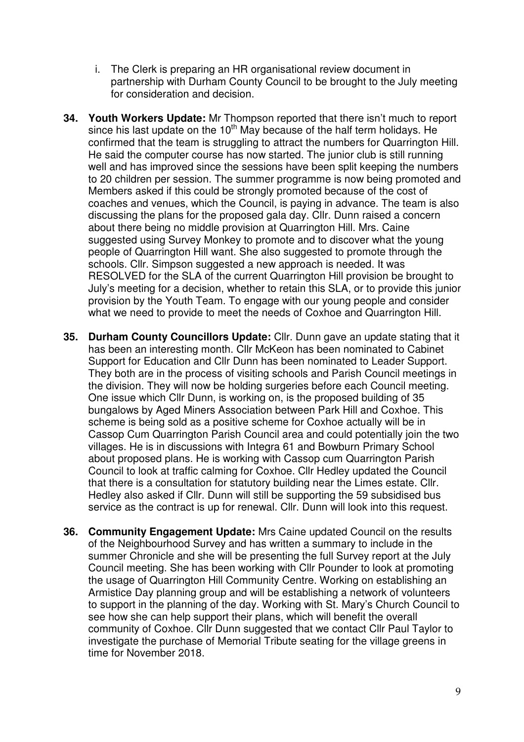- i. The Clerk is preparing an HR organisational review document in partnership with Durham County Council to be brought to the July meeting for consideration and decision.
- **34. Youth Workers Update:** Mr Thompson reported that there isn't much to report since his last update on the  $10<sup>th</sup>$  May because of the half term holidays. He confirmed that the team is struggling to attract the numbers for Quarrington Hill. He said the computer course has now started. The junior club is still running well and has improved since the sessions have been split keeping the numbers to 20 children per session. The summer programme is now being promoted and Members asked if this could be strongly promoted because of the cost of coaches and venues, which the Council, is paying in advance. The team is also discussing the plans for the proposed gala day. Cllr. Dunn raised a concern about there being no middle provision at Quarrington Hill. Mrs. Caine suggested using Survey Monkey to promote and to discover what the young people of Quarrington Hill want. She also suggested to promote through the schools. Cllr. Simpson suggested a new approach is needed. It was RESOLVED for the SLA of the current Quarrington Hill provision be brought to July's meeting for a decision, whether to retain this SLA, or to provide this junior provision by the Youth Team. To engage with our young people and consider what we need to provide to meet the needs of Coxhoe and Quarrington Hill.
- **35. Durham County Councillors Update:** Cllr. Dunn gave an update stating that it has been an interesting month. Cllr McKeon has been nominated to Cabinet Support for Education and Cllr Dunn has been nominated to Leader Support. They both are in the process of visiting schools and Parish Council meetings in the division. They will now be holding surgeries before each Council meeting. One issue which Cllr Dunn, is working on, is the proposed building of 35 bungalows by Aged Miners Association between Park Hill and Coxhoe. This scheme is being sold as a positive scheme for Coxhoe actually will be in Cassop Cum Quarrington Parish Council area and could potentially join the two villages. He is in discussions with Integra 61 and Bowburn Primary School about proposed plans. He is working with Cassop cum Quarrington Parish Council to look at traffic calming for Coxhoe. Cllr Hedley updated the Council that there is a consultation for statutory building near the Limes estate. Cllr. Hedley also asked if Cllr. Dunn will still be supporting the 59 subsidised bus service as the contract is up for renewal. Cllr. Dunn will look into this request.
- **36. Community Engagement Update:** Mrs Caine updated Council on the results of the Neighbourhood Survey and has written a summary to include in the summer Chronicle and she will be presenting the full Survey report at the July Council meeting. She has been working with Cllr Pounder to look at promoting the usage of Quarrington Hill Community Centre. Working on establishing an Armistice Day planning group and will be establishing a network of volunteers to support in the planning of the day. Working with St. Mary's Church Council to see how she can help support their plans, which will benefit the overall community of Coxhoe. Cllr Dunn suggested that we contact Cllr Paul Taylor to investigate the purchase of Memorial Tribute seating for the village greens in time for November 2018.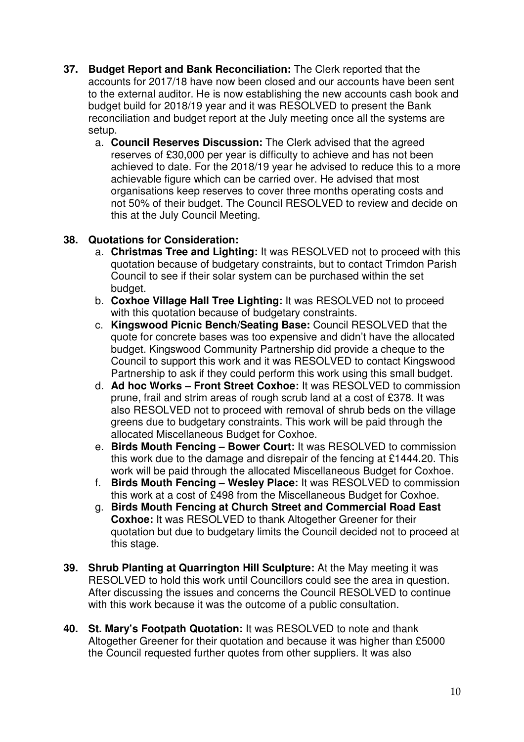- **37. Budget Report and Bank Reconciliation:** The Clerk reported that the accounts for 2017/18 have now been closed and our accounts have been sent to the external auditor. He is now establishing the new accounts cash book and budget build for 2018/19 year and it was RESOLVED to present the Bank reconciliation and budget report at the July meeting once all the systems are setup.
	- a. **Council Reserves Discussion:** The Clerk advised that the agreed reserves of £30,000 per year is difficulty to achieve and has not been achieved to date. For the 2018/19 year he advised to reduce this to a more achievable figure which can be carried over. He advised that most organisations keep reserves to cover three months operating costs and not 50% of their budget. The Council RESOLVED to review and decide on this at the July Council Meeting.

## **38. Quotations for Consideration:**

- a. **Christmas Tree and Lighting:** It was RESOLVED not to proceed with this quotation because of budgetary constraints, but to contact Trimdon Parish Council to see if their solar system can be purchased within the set budget.
- b. **Coxhoe Village Hall Tree Lighting:** It was RESOLVED not to proceed with this quotation because of budgetary constraints.
- c. **Kingswood Picnic Bench/Seating Base:** Council RESOLVED that the quote for concrete bases was too expensive and didn't have the allocated budget. Kingswood Community Partnership did provide a cheque to the Council to support this work and it was RESOLVED to contact Kingswood Partnership to ask if they could perform this work using this small budget.
- d. **Ad hoc Works Front Street Coxhoe:** It was RESOLVED to commission prune, frail and strim areas of rough scrub land at a cost of £378. It was also RESOLVED not to proceed with removal of shrub beds on the village greens due to budgetary constraints. This work will be paid through the allocated Miscellaneous Budget for Coxhoe.
- e. **Birds Mouth Fencing Bower Court:** It was RESOLVED to commission this work due to the damage and disrepair of the fencing at £1444.20. This work will be paid through the allocated Miscellaneous Budget for Coxhoe.
- f. **Birds Mouth Fencing Wesley Place:** It was RESOLVED to commission this work at a cost of £498 from the Miscellaneous Budget for Coxhoe.
- g. **Birds Mouth Fencing at Church Street and Commercial Road East Coxhoe:** It was RESOLVED to thank Altogether Greener for their quotation but due to budgetary limits the Council decided not to proceed at this stage.
- **39. Shrub Planting at Quarrington Hill Sculpture:** At the May meeting it was RESOLVED to hold this work until Councillors could see the area in question. After discussing the issues and concerns the Council RESOLVED to continue with this work because it was the outcome of a public consultation.
- **40. St. Mary's Footpath Quotation:** It was RESOLVED to note and thank Altogether Greener for their quotation and because it was higher than £5000 the Council requested further quotes from other suppliers. It was also